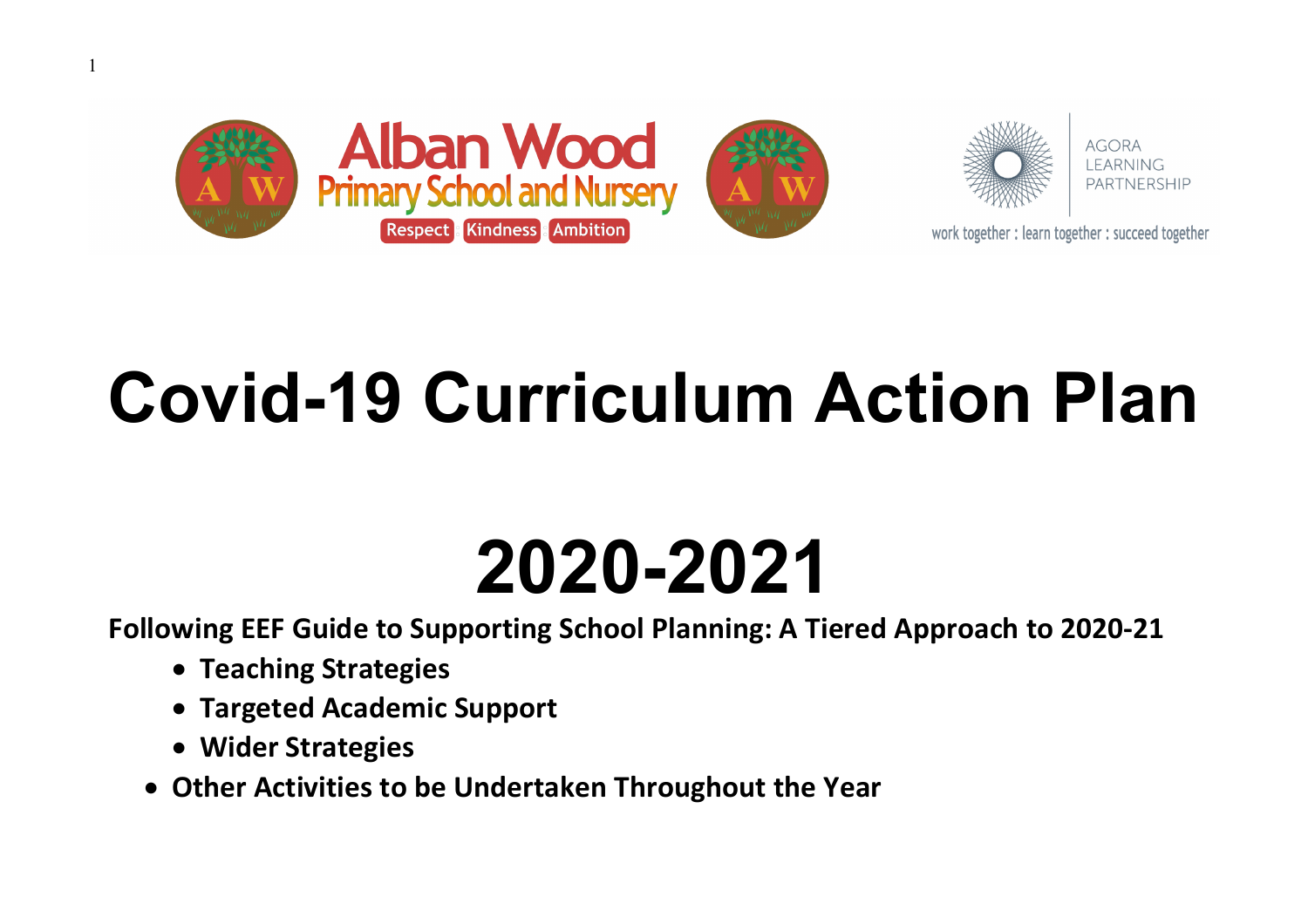

## **Covid-19 Curriculum Action Plan**

## **2020-2021**

**Following EEF Guide to Supporting School Planning: A Tiered Approach to 2020-21**

- **Teaching Strategies**
- **Targeted Academic Support**
- **Wider Strategies**

1

• **Other Activities to be Undertaken Throughout the Year**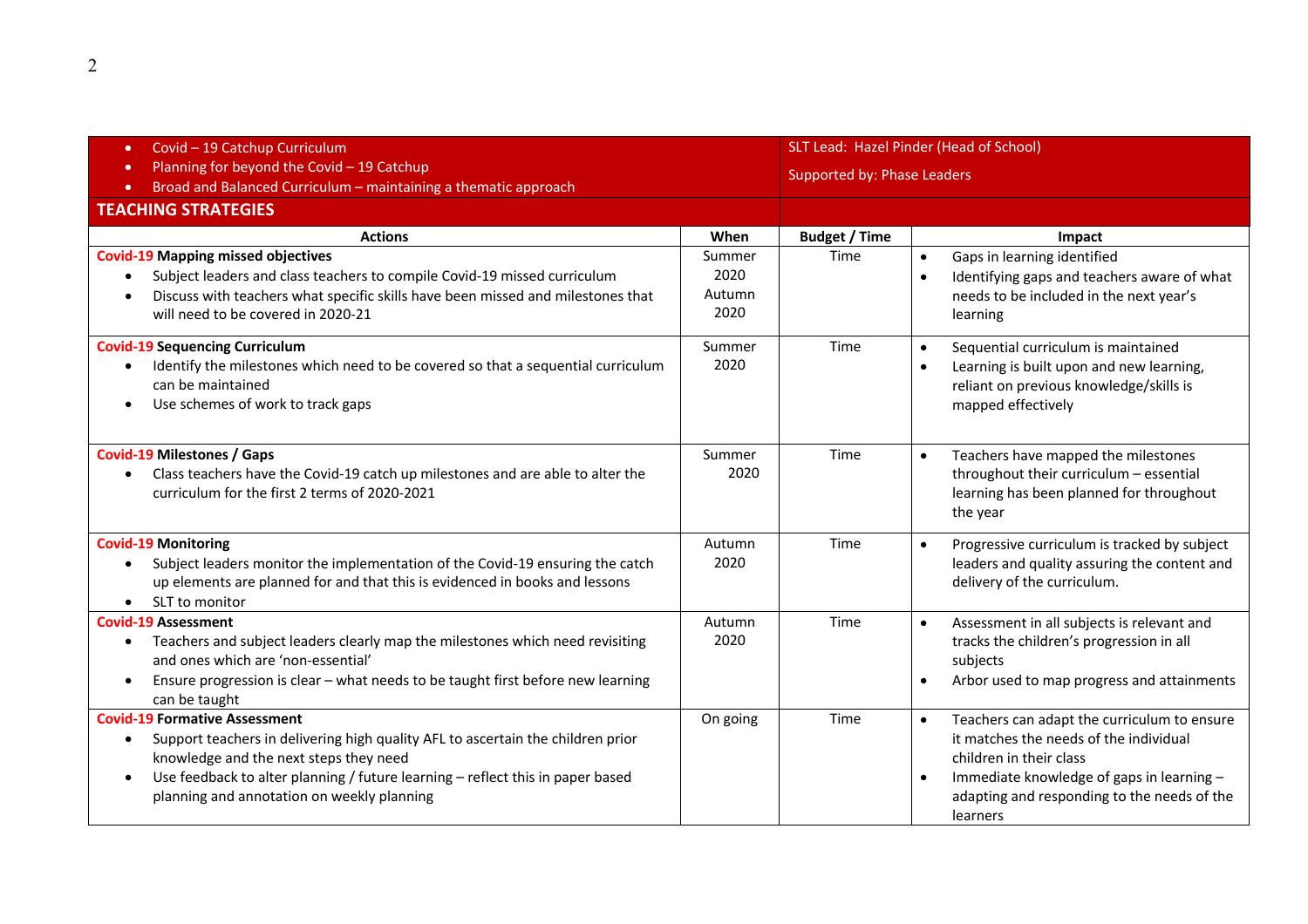| Covid - 19 Catchup Curriculum<br>$\bullet$                                                                                                                                                                                                                                                                                  |                                  | SLT Lead: Hazel Pinder (Head of School) |                                                                                                                                                                                                                                                    |  |
|-----------------------------------------------------------------------------------------------------------------------------------------------------------------------------------------------------------------------------------------------------------------------------------------------------------------------------|----------------------------------|-----------------------------------------|----------------------------------------------------------------------------------------------------------------------------------------------------------------------------------------------------------------------------------------------------|--|
| Planning for beyond the Covid - 19 Catchup<br>٠<br>Broad and Balanced Curriculum - maintaining a thematic approach<br>٠                                                                                                                                                                                                     |                                  | Supported by: Phase Leaders             |                                                                                                                                                                                                                                                    |  |
| <b>TEACHING STRATEGIES</b>                                                                                                                                                                                                                                                                                                  |                                  |                                         |                                                                                                                                                                                                                                                    |  |
| <b>Actions</b>                                                                                                                                                                                                                                                                                                              | When                             | <b>Budget / Time</b>                    | Impact                                                                                                                                                                                                                                             |  |
| <b>Covid-19 Mapping missed objectives</b><br>Subject leaders and class teachers to compile Covid-19 missed curriculum<br>$\bullet$<br>Discuss with teachers what specific skills have been missed and milestones that<br>will need to be covered in 2020-21                                                                 | Summer<br>2020<br>Autumn<br>2020 | Time                                    | Gaps in learning identified<br>$\bullet$<br>Identifying gaps and teachers aware of what<br>$\bullet$<br>needs to be included in the next year's<br>learning                                                                                        |  |
| <b>Covid-19 Sequencing Curriculum</b><br>Identify the milestones which need to be covered so that a sequential curriculum<br>$\bullet$<br>can be maintained<br>Use schemes of work to track gaps<br>$\bullet$                                                                                                               | Summer<br>2020                   | Time                                    | Sequential curriculum is maintained<br>$\bullet$<br>Learning is built upon and new learning,<br>$\bullet$<br>reliant on previous knowledge/skills is<br>mapped effectively                                                                         |  |
| <b>Covid-19 Milestones / Gaps</b><br>Class teachers have the Covid-19 catch up milestones and are able to alter the<br>curriculum for the first 2 terms of 2020-2021                                                                                                                                                        | Summer<br>2020                   | Time                                    | Teachers have mapped the milestones<br>$\bullet$<br>throughout their curriculum - essential<br>learning has been planned for throughout<br>the year                                                                                                |  |
| <b>Covid-19 Monitoring</b><br>Subject leaders monitor the implementation of the Covid-19 ensuring the catch<br>up elements are planned for and that this is evidenced in books and lessons<br>SLT to monitor<br>$\bullet$                                                                                                   | Autumn<br>2020                   | Time                                    | Progressive curriculum is tracked by subject<br>$\bullet$<br>leaders and quality assuring the content and<br>delivery of the curriculum.                                                                                                           |  |
| <b>Covid-19 Assessment</b><br>Teachers and subject leaders clearly map the milestones which need revisiting<br>٠<br>and ones which are 'non-essential'<br>Ensure progression is clear - what needs to be taught first before new learning<br>$\bullet$<br>can be taught                                                     | Autumn<br>2020                   | Time                                    | Assessment in all subjects is relevant and<br>$\bullet$<br>tracks the children's progression in all<br>subjects<br>Arbor used to map progress and attainments<br>$\bullet$                                                                         |  |
| <b>Covid-19 Formative Assessment</b><br>Support teachers in delivering high quality AFL to ascertain the children prior<br>$\bullet$<br>knowledge and the next steps they need<br>Use feedback to alter planning / future learning - reflect this in paper based<br>$\bullet$<br>planning and annotation on weekly planning | On going                         | Time                                    | Teachers can adapt the curriculum to ensure<br>$\bullet$<br>it matches the needs of the individual<br>children in their class<br>Immediate knowledge of gaps in learning -<br>$\bullet$<br>adapting and responding to the needs of the<br>learners |  |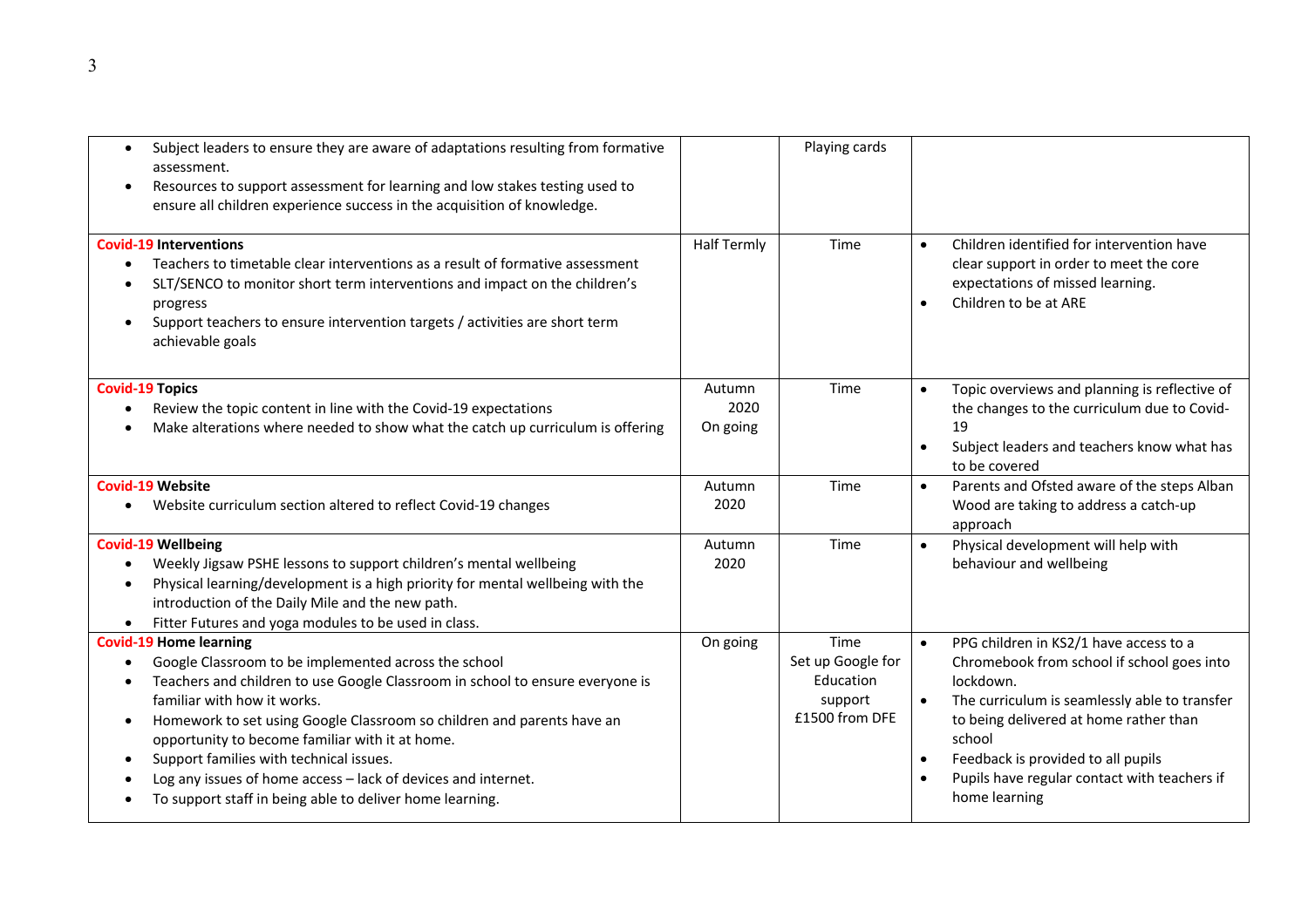| Subject leaders to ensure they are aware of adaptations resulting from formative<br>$\bullet$<br>assessment.<br>Resources to support assessment for learning and low stakes testing used to<br>ensure all children experience success in the acquisition of knowledge.                                                                                                                                                                                                                                                               |                            | Playing cards                                                       |                                                                                                                                                                                                                                                                                                                                                      |
|--------------------------------------------------------------------------------------------------------------------------------------------------------------------------------------------------------------------------------------------------------------------------------------------------------------------------------------------------------------------------------------------------------------------------------------------------------------------------------------------------------------------------------------|----------------------------|---------------------------------------------------------------------|------------------------------------------------------------------------------------------------------------------------------------------------------------------------------------------------------------------------------------------------------------------------------------------------------------------------------------------------------|
| <b>Covid-19 Interventions</b><br>Teachers to timetable clear interventions as a result of formative assessment<br>SLT/SENCO to monitor short term interventions and impact on the children's<br>progress<br>Support teachers to ensure intervention targets / activities are short term<br>achievable goals                                                                                                                                                                                                                          | <b>Half Termly</b>         | Time                                                                | Children identified for intervention have<br>$\bullet$<br>clear support in order to meet the core<br>expectations of missed learning.<br>Children to be at ARE<br>$\bullet$                                                                                                                                                                          |
| <b>Covid-19 Topics</b><br>Review the topic content in line with the Covid-19 expectations<br>Make alterations where needed to show what the catch up curriculum is offering                                                                                                                                                                                                                                                                                                                                                          | Autumn<br>2020<br>On going | Time                                                                | Topic overviews and planning is reflective of<br>$\bullet$<br>the changes to the curriculum due to Covid-<br>19<br>Subject leaders and teachers know what has<br>$\bullet$<br>to be covered                                                                                                                                                          |
| <b>Covid-19 Website</b><br>Website curriculum section altered to reflect Covid-19 changes<br>$\bullet$                                                                                                                                                                                                                                                                                                                                                                                                                               | Autumn<br>2020             | Time                                                                | Parents and Ofsted aware of the steps Alban<br>$\bullet$<br>Wood are taking to address a catch-up<br>approach                                                                                                                                                                                                                                        |
| <b>Covid-19 Wellbeing</b><br>Weekly Jigsaw PSHE lessons to support children's mental wellbeing<br>Physical learning/development is a high priority for mental wellbeing with the<br>introduction of the Daily Mile and the new path.<br>Fitter Futures and yoga modules to be used in class.<br>$\bullet$                                                                                                                                                                                                                            | Autumn<br>2020             | Time                                                                | Physical development will help with<br>$\bullet$<br>behaviour and wellbeing                                                                                                                                                                                                                                                                          |
| <b>Covid-19 Home learning</b><br>Google Classroom to be implemented across the school<br>Teachers and children to use Google Classroom in school to ensure everyone is<br>familiar with how it works.<br>Homework to set using Google Classroom so children and parents have an<br>$\bullet$<br>opportunity to become familiar with it at home.<br>Support families with technical issues.<br>$\bullet$<br>Log any issues of home access - lack of devices and internet.<br>To support staff in being able to deliver home learning. | On going                   | Time<br>Set up Google for<br>Education<br>support<br>£1500 from DFE | PPG children in KS2/1 have access to a<br>$\bullet$<br>Chromebook from school if school goes into<br>lockdown.<br>The curriculum is seamlessly able to transfer<br>to being delivered at home rather than<br>school<br>Feedback is provided to all pupils<br>$\bullet$<br>Pupils have regular contact with teachers if<br>$\bullet$<br>home learning |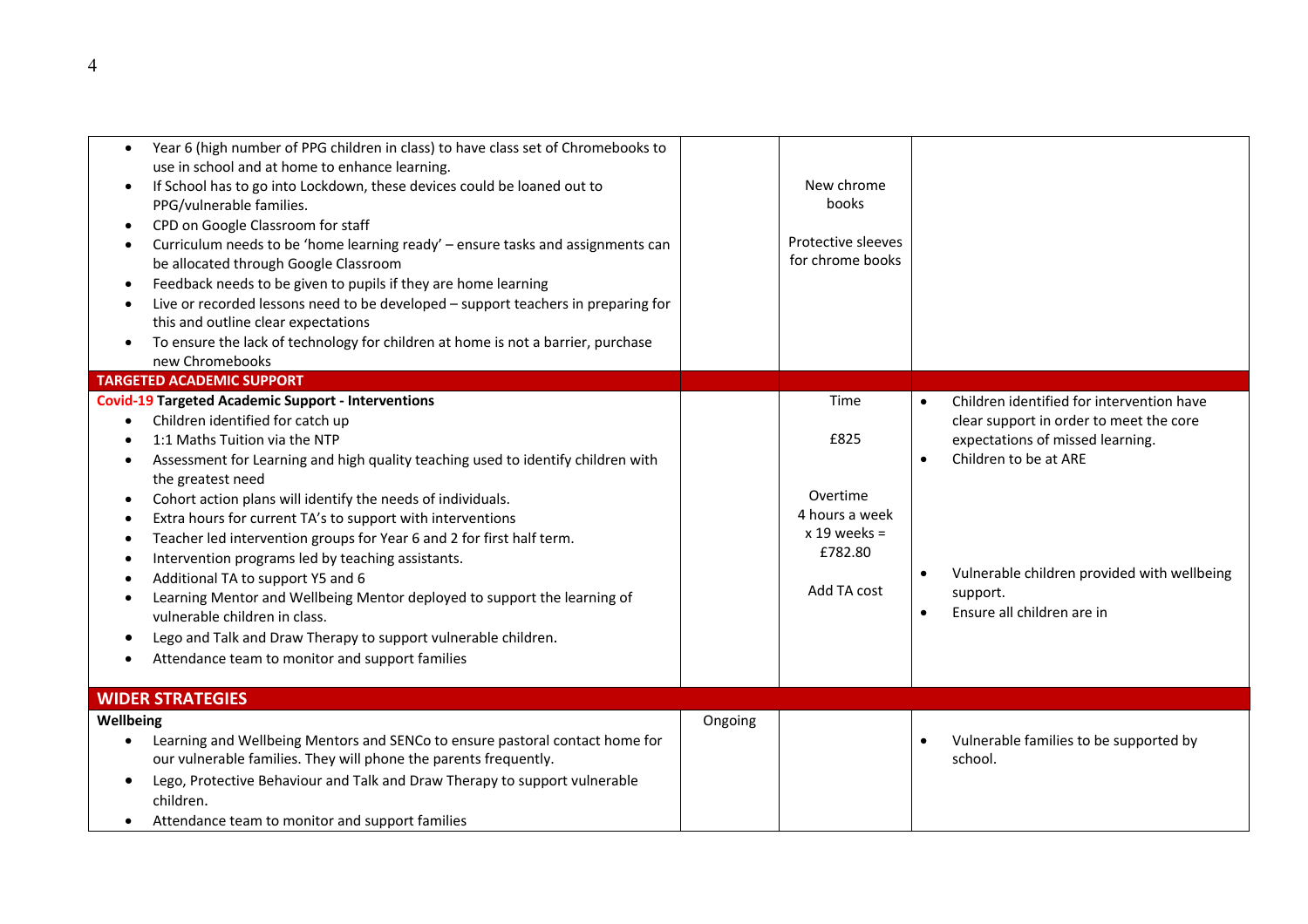| Year 6 (high number of PPG children in class) to have class set of Chromebooks to<br>$\bullet$<br>use in school and at home to enhance learning.<br>If School has to go into Lockdown, these devices could be loaned out to<br>$\bullet$<br>PPG/vulnerable families.<br>CPD on Google Classroom for staff<br>Curriculum needs to be 'home learning ready' - ensure tasks and assignments can<br>be allocated through Google Classroom<br>Feedback needs to be given to pupils if they are home learning<br>$\bullet$<br>Live or recorded lessons need to be developed - support teachers in preparing for<br>this and outline clear expectations<br>To ensure the lack of technology for children at home is not a barrier, purchase                                                                |         | New chrome<br>books<br>Protective sleeves<br>for chrome books                          |                                                                                                                                                                                                                                                                                                |
|-----------------------------------------------------------------------------------------------------------------------------------------------------------------------------------------------------------------------------------------------------------------------------------------------------------------------------------------------------------------------------------------------------------------------------------------------------------------------------------------------------------------------------------------------------------------------------------------------------------------------------------------------------------------------------------------------------------------------------------------------------------------------------------------------------|---------|----------------------------------------------------------------------------------------|------------------------------------------------------------------------------------------------------------------------------------------------------------------------------------------------------------------------------------------------------------------------------------------------|
| new Chromebooks                                                                                                                                                                                                                                                                                                                                                                                                                                                                                                                                                                                                                                                                                                                                                                                     |         |                                                                                        |                                                                                                                                                                                                                                                                                                |
| <b>TARGETED ACADEMIC SUPPORT</b>                                                                                                                                                                                                                                                                                                                                                                                                                                                                                                                                                                                                                                                                                                                                                                    |         |                                                                                        |                                                                                                                                                                                                                                                                                                |
| <b>Covid-19 Targeted Academic Support - Interventions</b><br>Children identified for catch up<br>1:1 Maths Tuition via the NTP<br>Assessment for Learning and high quality teaching used to identify children with<br>the greatest need<br>Cohort action plans will identify the needs of individuals.<br>$\bullet$<br>Extra hours for current TA's to support with interventions<br>Teacher led intervention groups for Year 6 and 2 for first half term.<br>Intervention programs led by teaching assistants.<br>$\bullet$<br>Additional TA to support Y5 and 6<br>Learning Mentor and Wellbeing Mentor deployed to support the learning of<br>vulnerable children in class.<br>Lego and Talk and Draw Therapy to support vulnerable children.<br>Attendance team to monitor and support families |         | Time<br>£825<br>Overtime<br>4 hours a week<br>$x$ 19 weeks =<br>£782.80<br>Add TA cost | Children identified for intervention have<br>$\bullet$<br>clear support in order to meet the core<br>expectations of missed learning.<br>Children to be at ARE<br>$\bullet$<br>Vulnerable children provided with wellbeing<br>$\bullet$<br>support.<br>Ensure all children are in<br>$\bullet$ |
| <b>WIDER STRATEGIES</b>                                                                                                                                                                                                                                                                                                                                                                                                                                                                                                                                                                                                                                                                                                                                                                             |         |                                                                                        |                                                                                                                                                                                                                                                                                                |
| Wellbeing                                                                                                                                                                                                                                                                                                                                                                                                                                                                                                                                                                                                                                                                                                                                                                                           | Ongoing |                                                                                        |                                                                                                                                                                                                                                                                                                |
| Learning and Wellbeing Mentors and SENCo to ensure pastoral contact home for<br>$\bullet$<br>our vulnerable families. They will phone the parents frequently.<br>Lego, Protective Behaviour and Talk and Draw Therapy to support vulnerable<br>$\bullet$<br>children.<br>Attendance team to monitor and support families                                                                                                                                                                                                                                                                                                                                                                                                                                                                            |         |                                                                                        | Vulnerable families to be supported by<br>school.                                                                                                                                                                                                                                              |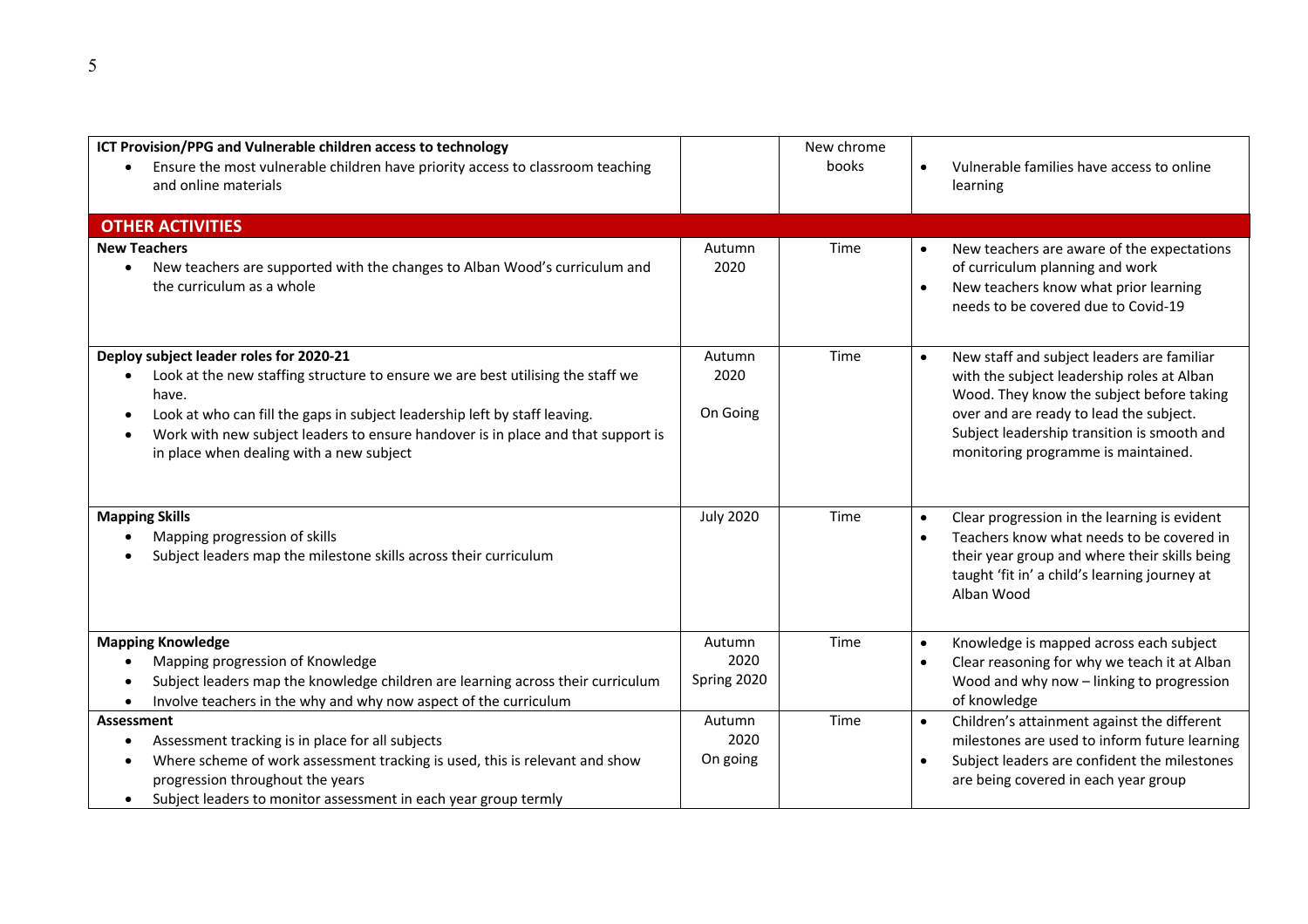| ICT Provision/PPG and Vulnerable children access to technology                                                                                                                                                                                                                                                                                                              |                               | New chrome |                                                                                                                                                                                                                                                                                     |
|-----------------------------------------------------------------------------------------------------------------------------------------------------------------------------------------------------------------------------------------------------------------------------------------------------------------------------------------------------------------------------|-------------------------------|------------|-------------------------------------------------------------------------------------------------------------------------------------------------------------------------------------------------------------------------------------------------------------------------------------|
| Ensure the most vulnerable children have priority access to classroom teaching<br>and online materials                                                                                                                                                                                                                                                                      |                               | books      | Vulnerable families have access to online<br>$\bullet$<br>learning                                                                                                                                                                                                                  |
| <b>OTHER ACTIVITIES</b>                                                                                                                                                                                                                                                                                                                                                     |                               |            |                                                                                                                                                                                                                                                                                     |
| <b>New Teachers</b><br>New teachers are supported with the changes to Alban Wood's curriculum and<br>the curriculum as a whole                                                                                                                                                                                                                                              | Autumn<br>2020                | Time       | New teachers are aware of the expectations<br>$\bullet$<br>of curriculum planning and work<br>New teachers know what prior learning<br>$\bullet$<br>needs to be covered due to Covid-19                                                                                             |
| Deploy subject leader roles for 2020-21<br>Look at the new staffing structure to ensure we are best utilising the staff we<br>have.<br>Look at who can fill the gaps in subject leadership left by staff leaving.<br>$\bullet$<br>Work with new subject leaders to ensure handover is in place and that support is<br>$\bullet$<br>in place when dealing with a new subject | Autumn<br>2020<br>On Going    | Time       | New staff and subject leaders are familiar<br>$\bullet$<br>with the subject leadership roles at Alban<br>Wood. They know the subject before taking<br>over and are ready to lead the subject.<br>Subject leadership transition is smooth and<br>monitoring programme is maintained. |
| <b>Mapping Skills</b><br>Mapping progression of skills<br>Subject leaders map the milestone skills across their curriculum                                                                                                                                                                                                                                                  | <b>July 2020</b>              | Time       | Clear progression in the learning is evident<br>$\bullet$<br>Teachers know what needs to be covered in<br>$\bullet$<br>their year group and where their skills being<br>taught 'fit in' a child's learning journey at<br>Alban Wood                                                 |
| <b>Mapping Knowledge</b><br>Mapping progression of Knowledge<br>Subject leaders map the knowledge children are learning across their curriculum<br>Involve teachers in the why and why now aspect of the curriculum<br>$\bullet$                                                                                                                                            | Autumn<br>2020<br>Spring 2020 | Time       | Knowledge is mapped across each subject<br>$\bullet$<br>Clear reasoning for why we teach it at Alban<br>$\bullet$<br>Wood and why now - linking to progression<br>of knowledge                                                                                                      |
| <b>Assessment</b><br>Assessment tracking is in place for all subjects<br>$\bullet$<br>Where scheme of work assessment tracking is used, this is relevant and show<br>$\bullet$<br>progression throughout the years<br>Subject leaders to monitor assessment in each year group termly                                                                                       | Autumn<br>2020<br>On going    | Time       | Children's attainment against the different<br>$\bullet$<br>milestones are used to inform future learning<br>Subject leaders are confident the milestones<br>$\bullet$<br>are being covered in each year group                                                                      |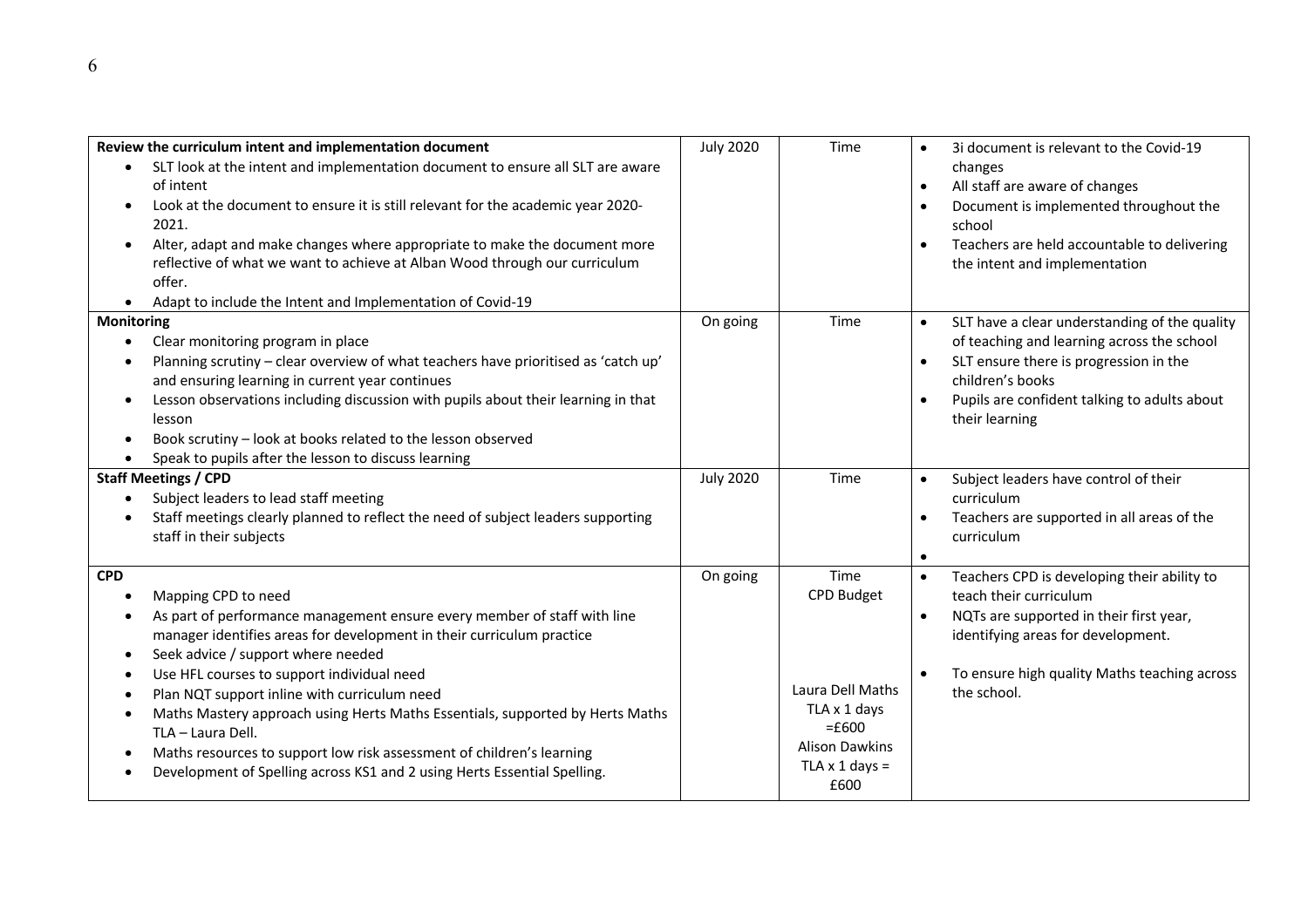| Review the curriculum intent and implementation document<br>SLT look at the intent and implementation document to ensure all SLT are aware<br>$\bullet$<br>of intent<br>Look at the document to ensure it is still relevant for the academic year 2020-<br>2021.<br>Alter, adapt and make changes where appropriate to make the document more<br>$\bullet$<br>reflective of what we want to achieve at Alban Wood through our curriculum<br>offer.<br>Adapt to include the Intent and Implementation of Covid-19                                                                           | <b>July 2020</b> | Time                                                                                                                        | 3i document is relevant to the Covid-19<br>changes<br>All staff are aware of changes<br>$\bullet$<br>Document is implemented throughout the<br>school<br>Teachers are held accountable to delivering<br>$\bullet$<br>the intent and implementation    |
|--------------------------------------------------------------------------------------------------------------------------------------------------------------------------------------------------------------------------------------------------------------------------------------------------------------------------------------------------------------------------------------------------------------------------------------------------------------------------------------------------------------------------------------------------------------------------------------------|------------------|-----------------------------------------------------------------------------------------------------------------------------|-------------------------------------------------------------------------------------------------------------------------------------------------------------------------------------------------------------------------------------------------------|
| <b>Monitoring</b><br>Clear monitoring program in place<br>$\bullet$<br>Planning scrutiny - clear overview of what teachers have prioritised as 'catch up'<br>and ensuring learning in current year continues<br>Lesson observations including discussion with pupils about their learning in that<br>lesson<br>Book scrutiny - look at books related to the lesson observed<br>Speak to pupils after the lesson to discuss learning                                                                                                                                                        | On going         | Time                                                                                                                        | SLT have a clear understanding of the quality<br>of teaching and learning across the school<br>SLT ensure there is progression in the<br>$\bullet$<br>children's books<br>Pupils are confident talking to adults about<br>$\bullet$<br>their learning |
| <b>Staff Meetings / CPD</b><br>Subject leaders to lead staff meeting<br>Staff meetings clearly planned to reflect the need of subject leaders supporting<br>staff in their subjects                                                                                                                                                                                                                                                                                                                                                                                                        | <b>July 2020</b> | Time                                                                                                                        | Subject leaders have control of their<br>$\bullet$<br>curriculum<br>Teachers are supported in all areas of the<br>curriculum<br>$\bullet$                                                                                                             |
| <b>CPD</b><br>Mapping CPD to need<br>As part of performance management ensure every member of staff with line<br>manager identifies areas for development in their curriculum practice<br>Seek advice / support where needed<br>٠<br>Use HFL courses to support individual need<br>Plan NQT support inline with curriculum need<br>Maths Mastery approach using Herts Maths Essentials, supported by Herts Maths<br>TLA - Laura Dell.<br>Maths resources to support low risk assessment of children's learning<br>Development of Spelling across KS1 and 2 using Herts Essential Spelling. | On going         | Time<br>CPD Budget<br>Laura Dell Maths<br>TLA x 1 days<br>$=£600$<br><b>Alison Dawkins</b><br>TLA $\times$ 1 days =<br>£600 | Teachers CPD is developing their ability to<br>$\bullet$<br>teach their curriculum<br>NQTs are supported in their first year,<br>identifying areas for development.<br>To ensure high quality Maths teaching across<br>the school.                    |